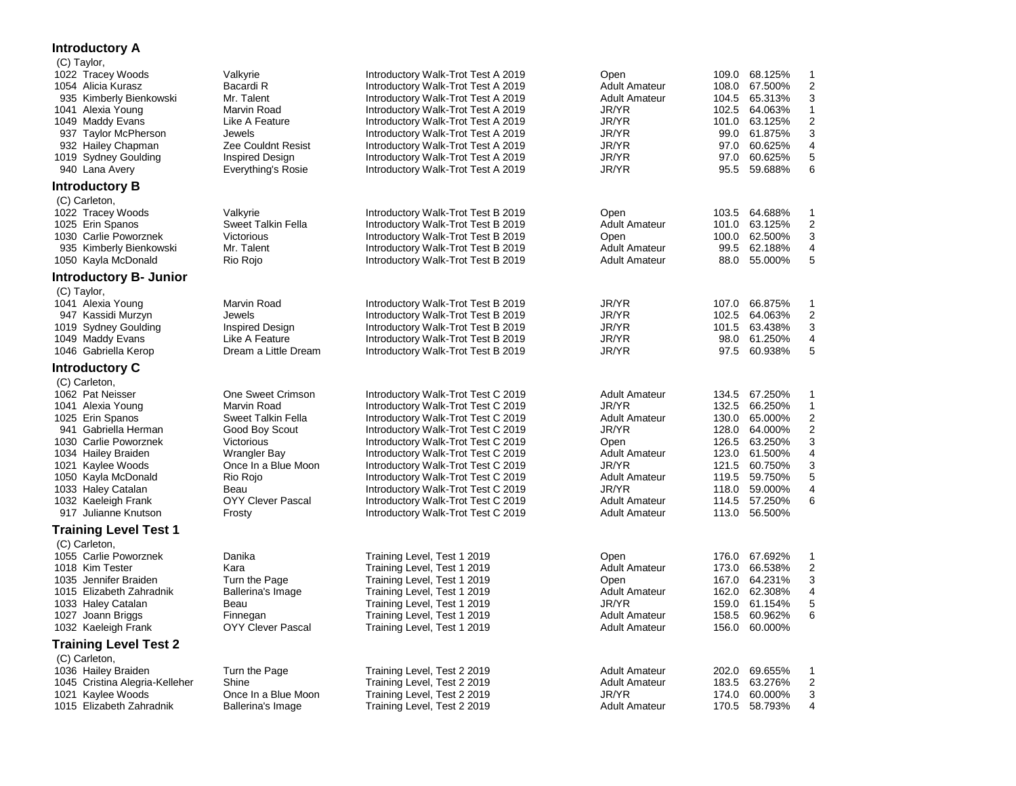## **Introductory A**

| (C) Taylor,                                                                                                                                                                                                                                                         |                                                                                                                                                                                         |                                                                                                                                                                                                                                                                                                                                                                                                                                |                                                                                                                                                                                          |                                                                                                                                                                                               |                                                                                                  |
|---------------------------------------------------------------------------------------------------------------------------------------------------------------------------------------------------------------------------------------------------------------------|-----------------------------------------------------------------------------------------------------------------------------------------------------------------------------------------|--------------------------------------------------------------------------------------------------------------------------------------------------------------------------------------------------------------------------------------------------------------------------------------------------------------------------------------------------------------------------------------------------------------------------------|------------------------------------------------------------------------------------------------------------------------------------------------------------------------------------------|-----------------------------------------------------------------------------------------------------------------------------------------------------------------------------------------------|--------------------------------------------------------------------------------------------------|
| 1022 Tracey Woods<br>1054 Alicia Kurasz<br>935 Kimberly Bienkowski<br>1041 Alexia Young<br>1049 Maddy Evans<br>937 Taylor McPherson<br>932 Hailey Chapman<br>1019 Sydney Goulding                                                                                   | Valkyrie<br>Bacardi R<br>Mr. Talent<br>Marvin Road<br>Like A Feature<br>Jewels<br>Zee Couldnt Resist<br><b>Inspired Design</b>                                                          | Introductory Walk-Trot Test A 2019<br>Introductory Walk-Trot Test A 2019<br>Introductory Walk-Trot Test A 2019<br>Introductory Walk-Trot Test A 2019<br>Introductory Walk-Trot Test A 2019<br>Introductory Walk-Trot Test A 2019<br>Introductory Walk-Trot Test A 2019<br>Introductory Walk-Trot Test A 2019                                                                                                                   | Open<br><b>Adult Amateur</b><br><b>Adult Amateur</b><br>JR/YR<br>JR/YR<br>JR/YR<br>JR/YR<br>JR/YR                                                                                        | 109.0 68.125%<br>108.0<br>67.500%<br>104.5 65.313%<br>102.5 64.063%<br>101.0 63.125%<br>99.0 61.875%<br>97.0 60.625%<br>97.0<br>60.625%                                                       | 1<br>$\boldsymbol{2}$<br>3<br>$\mathbf{1}$<br>2<br>3<br>$\overline{4}$<br>5                      |
| 940 Lana Avery                                                                                                                                                                                                                                                      | Everything's Rosie                                                                                                                                                                      | Introductory Walk-Trot Test A 2019                                                                                                                                                                                                                                                                                                                                                                                             | JR/YR                                                                                                                                                                                    | 95.5 59.688%                                                                                                                                                                                  | 6                                                                                                |
| <b>Introductory B</b><br>(C) Carleton,                                                                                                                                                                                                                              |                                                                                                                                                                                         |                                                                                                                                                                                                                                                                                                                                                                                                                                |                                                                                                                                                                                          |                                                                                                                                                                                               |                                                                                                  |
| 1022 Tracey Woods<br>1025 Erin Spanos<br>1030 Carlie Poworznek<br>935 Kimberly Bienkowski<br>1050 Kayla McDonald                                                                                                                                                    | Valkyrie<br>Sweet Talkin Fella<br>Victorious<br>Mr. Talent<br>Rio Rojo                                                                                                                  | Introductory Walk-Trot Test B 2019<br>Introductory Walk-Trot Test B 2019<br>Introductory Walk-Trot Test B 2019<br>Introductory Walk-Trot Test B 2019<br>Introductory Walk-Trot Test B 2019                                                                                                                                                                                                                                     | Open<br><b>Adult Amateur</b><br>Open<br><b>Adult Amateur</b><br><b>Adult Amateur</b>                                                                                                     | 103.5 64.688%<br>101.0 63.125%<br>100.0 62.500%<br>99.5<br>62.188%<br>88.0 55.000%                                                                                                            | $\mathbf{1}$<br>$\boldsymbol{2}$<br>3<br>4<br>5                                                  |
| <b>Introductory B- Junior</b>                                                                                                                                                                                                                                       |                                                                                                                                                                                         |                                                                                                                                                                                                                                                                                                                                                                                                                                |                                                                                                                                                                                          |                                                                                                                                                                                               |                                                                                                  |
| (C) Taylor,<br>1041 Alexia Young<br>947 Kassidi Murzyn<br>1019 Sydney Goulding<br>1049 Maddy Evans<br>1046 Gabriella Kerop                                                                                                                                          | Marvin Road<br>Jewels<br>Inspired Design<br>Like A Feature<br>Dream a Little Dream                                                                                                      | Introductory Walk-Trot Test B 2019<br>Introductory Walk-Trot Test B 2019<br>Introductory Walk-Trot Test B 2019<br>Introductory Walk-Trot Test B 2019<br>Introductory Walk-Trot Test B 2019                                                                                                                                                                                                                                     | JR/YR<br>JR/YR<br>JR/YR<br>JR/YR<br>JR/YR                                                                                                                                                | 107.0 66.875%<br>102.5<br>64.063%<br>101.5 63.438%<br>98.0 61.250%<br>97.5 60.938%                                                                                                            | $\mathbf{1}$<br>$\overline{\mathbf{c}}$<br>3<br>4<br>5                                           |
| <b>Introductory C</b>                                                                                                                                                                                                                                               |                                                                                                                                                                                         |                                                                                                                                                                                                                                                                                                                                                                                                                                |                                                                                                                                                                                          |                                                                                                                                                                                               |                                                                                                  |
| (C) Carleton,<br>1062 Pat Neisser<br>1041 Alexia Young<br>1025 Erin Spanos<br>941 Gabriella Herman<br>1030 Carlie Poworznek<br>1034 Hailey Braiden<br>1021 Kaylee Woods<br>1050 Kayla McDonald<br>1033 Haley Catalan<br>1032 Kaeleigh Frank<br>917 Julianne Knutson | One Sweet Crimson<br>Marvin Road<br>Sweet Talkin Fella<br>Good Boy Scout<br>Victorious<br>Wrangler Bay<br>Once In a Blue Moon<br>Rio Rojo<br>Beau<br><b>OYY Clever Pascal</b><br>Frosty | Introductory Walk-Trot Test C 2019<br>Introductory Walk-Trot Test C 2019<br>Introductory Walk-Trot Test C 2019<br>Introductory Walk-Trot Test C 2019<br>Introductory Walk-Trot Test C 2019<br>Introductory Walk-Trot Test C 2019<br>Introductory Walk-Trot Test C 2019<br>Introductory Walk-Trot Test C 2019<br>Introductory Walk-Trot Test C 2019<br>Introductory Walk-Trot Test C 2019<br>Introductory Walk-Trot Test C 2019 | <b>Adult Amateur</b><br>JR/YR<br><b>Adult Amateur</b><br>JR/YR<br>Open<br><b>Adult Amateur</b><br>JR/YR<br><b>Adult Amateur</b><br>JR/YR<br><b>Adult Amateur</b><br><b>Adult Amateur</b> | 134.5 67.250%<br>132.5 66.250%<br>130.0 65.000%<br>128.0 64.000%<br>126.5 63.250%<br>123.0 61.500%<br>121.5 60.750%<br>119.5 59.750%<br>59.000%<br>118.0<br>114.5<br>57.250%<br>113.0 56.500% | $\mathbf{1}$<br>$\mathbf{1}$<br>$\overline{2}$<br>$\boldsymbol{2}$<br>3<br>4<br>3<br>5<br>4<br>6 |
| <b>Training Level Test 1</b>                                                                                                                                                                                                                                        |                                                                                                                                                                                         |                                                                                                                                                                                                                                                                                                                                                                                                                                |                                                                                                                                                                                          |                                                                                                                                                                                               |                                                                                                  |
| (C) Carleton,<br>1055 Carlie Poworznek<br>1018 Kim Tester<br>1035 Jennifer Braiden<br>1015 Elizabeth Zahradnik<br>1033 Haley Catalan<br>1027 Joann Briggs<br>1032 Kaeleigh Frank                                                                                    | Danika<br>Kara<br>Turn the Page<br>Ballerina's Image<br>Beau<br>Finnegan<br><b>OYY Clever Pascal</b>                                                                                    | Training Level, Test 1 2019<br>Training Level, Test 1 2019<br>Training Level, Test 1 2019<br>Training Level, Test 1 2019<br>Training Level, Test 1 2019<br>Training Level, Test 1 2019<br>Training Level, Test 1 2019                                                                                                                                                                                                          | Open<br><b>Adult Amateur</b><br>Open<br><b>Adult Amateur</b><br>JR/YR<br><b>Adult Amateur</b><br><b>Adult Amateur</b>                                                                    | 176.0<br>67.692%<br>173.0 66.538%<br>167.0<br>64.231%<br>162.0 62.308%<br>159.0 61.154%<br>158.5<br>60.962%<br>156.0 60.000%                                                                  | $\mathbf{1}$<br>$\overline{2}$<br>3<br>4<br>5<br>6                                               |
| <b>Training Level Test 2</b>                                                                                                                                                                                                                                        |                                                                                                                                                                                         |                                                                                                                                                                                                                                                                                                                                                                                                                                |                                                                                                                                                                                          |                                                                                                                                                                                               |                                                                                                  |
| (C) Carleton,<br>1036 Hailey Braiden<br>1045 Cristina Alegria-Kelleher<br>1021 Kaylee Woods<br>1015 Elizabeth Zahradnik                                                                                                                                             | Turn the Page<br>Shine<br>Once In a Blue Moon<br>Ballerina's Image                                                                                                                      | Training Level, Test 2 2019<br>Training Level, Test 2 2019<br>Training Level, Test 2 2019<br>Training Level, Test 2 2019                                                                                                                                                                                                                                                                                                       | <b>Adult Amateur</b><br><b>Adult Amateur</b><br>JR/YR<br><b>Adult Amateur</b>                                                                                                            | 202.0 69.655%<br>183.5<br>63.276%<br>174.0<br>60.000%<br>170.5 58.793%                                                                                                                        | $\mathbf{1}$<br>$\overline{2}$<br>3<br>4                                                         |
|                                                                                                                                                                                                                                                                     |                                                                                                                                                                                         |                                                                                                                                                                                                                                                                                                                                                                                                                                |                                                                                                                                                                                          |                                                                                                                                                                                               |                                                                                                  |